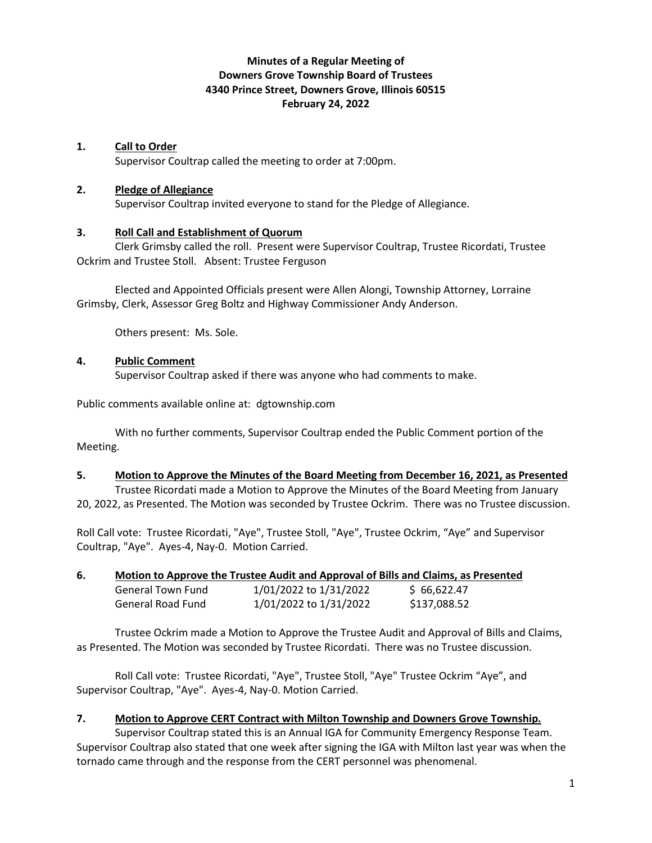## **Minutes of a Regular Meeting of Downers Grove Township Board of Trustees 4340 Prince Street, Downers Grove, Illinois 60515 February 24, 2022**

#### **1. Call to Order**

Supervisor Coultrap called the meeting to order at 7:00pm.

#### **2. Pledge of Allegiance**

Supervisor Coultrap invited everyone to stand for the Pledge of Allegiance.

## **3. Roll Call and Establishment of Quorum**

Clerk Grimsby called the roll. Present were Supervisor Coultrap, Trustee Ricordati, Trustee Ockrim and Trustee Stoll. Absent: Trustee Ferguson

Elected and Appointed Officials present were Allen Alongi, Township Attorney, Lorraine Grimsby, Clerk, Assessor Greg Boltz and Highway Commissioner Andy Anderson.

Others present: Ms. Sole.

## **4. Public Comment**

Supervisor Coultrap asked if there was anyone who had comments to make.

Public comments available online at: dgtownship.com

With no further comments, Supervisor Coultrap ended the Public Comment portion of the Meeting.

#### **5. Motion to Approve the Minutes of the Board Meeting from December 16, 2021, as Presented**

Trustee Ricordati made a Motion to Approve the Minutes of the Board Meeting from January 20, 2022, as Presented. The Motion was seconded by Trustee Ockrim. There was no Trustee discussion.

Roll Call vote: Trustee Ricordati, "Aye", Trustee Stoll, "Aye", Trustee Ockrim, "Aye" and Supervisor Coultrap, "Aye". Ayes-4, Nay-0. Motion Carried.

## **6. Motion to Approve the Trustee Audit and Approval of Bills and Claims, as Presented**

| <b>General Town Fund</b> | 1/01/2022 to 1/31/2022 | \$66,622.47  |
|--------------------------|------------------------|--------------|
| General Road Fund        | 1/01/2022 to 1/31/2022 | \$137,088.52 |

Trustee Ockrim made a Motion to Approve the Trustee Audit and Approval of Bills and Claims, as Presented. The Motion was seconded by Trustee Ricordati. There was no Trustee discussion.

Roll Call vote: Trustee Ricordati, "Aye", Trustee Stoll, "Aye" Trustee Ockrim "Aye", and Supervisor Coultrap, "Aye". Ayes-4, Nay-0. Motion Carried.

## **7. Motion to Approve CERT Contract with Milton Township and Downers Grove Township.**

Supervisor Coultrap stated this is an Annual IGA for Community Emergency Response Team. Supervisor Coultrap also stated that one week after signing the IGA with Milton last year was when the tornado came through and the response from the CERT personnel was phenomenal.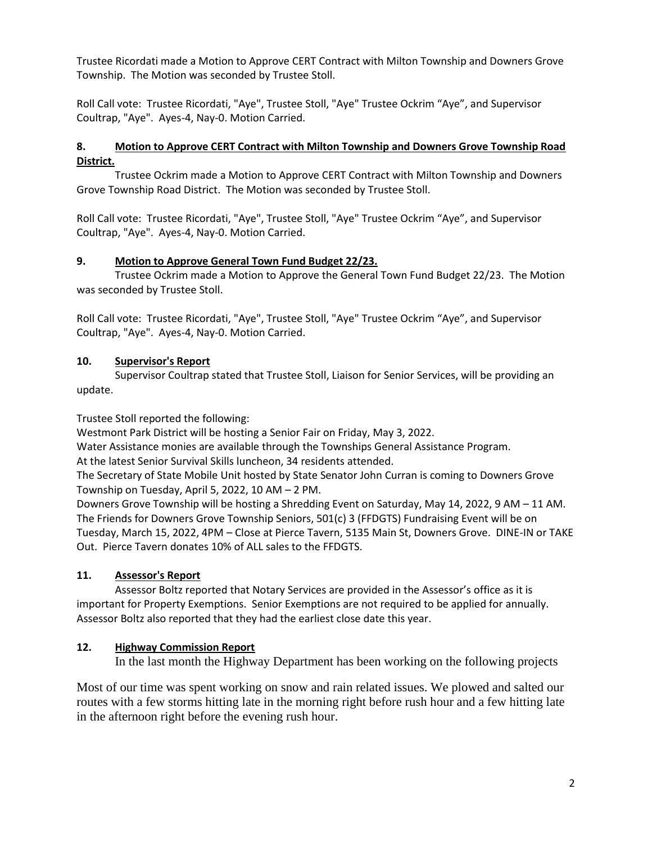Trustee Ricordati made a Motion to Approve CERT Contract with Milton Township and Downers Grove Township. The Motion was seconded by Trustee Stoll.

Roll Call vote: Trustee Ricordati, "Aye", Trustee Stoll, "Aye" Trustee Ockrim "Aye", and Supervisor Coultrap, "Aye". Ayes-4, Nay-0. Motion Carried.

## **8. Motion to Approve CERT Contract with Milton Township and Downers Grove Township Road District.**

Trustee Ockrim made a Motion to Approve CERT Contract with Milton Township and Downers Grove Township Road District. The Motion was seconded by Trustee Stoll.

Roll Call vote: Trustee Ricordati, "Aye", Trustee Stoll, "Aye" Trustee Ockrim "Aye", and Supervisor Coultrap, "Aye". Ayes-4, Nay-0. Motion Carried.

## **9. Motion to Approve General Town Fund Budget 22/23.**

Trustee Ockrim made a Motion to Approve the General Town Fund Budget 22/23. The Motion was seconded by Trustee Stoll.

Roll Call vote: Trustee Ricordati, "Aye", Trustee Stoll, "Aye" Trustee Ockrim "Aye", and Supervisor Coultrap, "Aye". Ayes-4, Nay-0. Motion Carried.

## **10. Supervisor's Report**

Supervisor Coultrap stated that Trustee Stoll, Liaison for Senior Services, will be providing an update.

Trustee Stoll reported the following:

Westmont Park District will be hosting a Senior Fair on Friday, May 3, 2022.

Water Assistance monies are available through the Townships General Assistance Program. At the latest Senior Survival Skills luncheon, 34 residents attended.

The Secretary of State Mobile Unit hosted by State Senator John Curran is coming to Downers Grove Township on Tuesday, April 5, 2022, 10 AM – 2 PM.

Downers Grove Township will be hosting a Shredding Event on Saturday, May 14, 2022, 9 AM – 11 AM. The Friends for Downers Grove Township Seniors, 501(c) 3 (FFDGTS) Fundraising Event will be on Tuesday, March 15, 2022, 4PM – Close at Pierce Tavern, 5135 Main St, Downers Grove. DINE-IN or TAKE Out. Pierce Tavern donates 10% of ALL sales to the FFDGTS.

# **11. Assessor's Report**

Assessor Boltz reported that Notary Services are provided in the Assessor's office as it is important for Property Exemptions. Senior Exemptions are not required to be applied for annually. Assessor Boltz also reported that they had the earliest close date this year.

# **12. Highway Commission Report**

In the last month the Highway Department has been working on the following projects

Most of our time was spent working on snow and rain related issues. We plowed and salted our routes with a few storms hitting late in the morning right before rush hour and a few hitting late in the afternoon right before the evening rush hour.